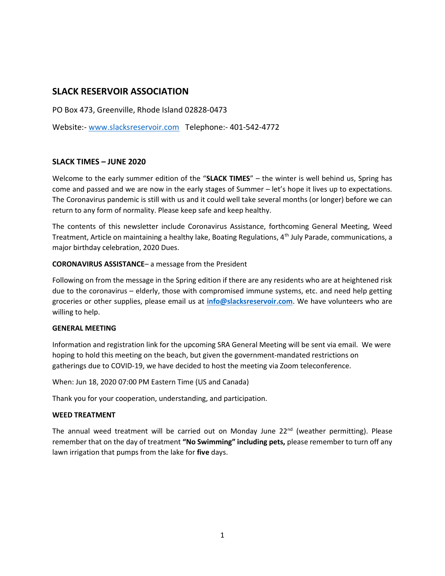# SLACK RESERVOIR ASSOCIATION

PO Box 473, Greenville, Rhode Island 02828-0473

Website:- www.slacksreservoir.com Telephone:- 401-542-4772

# SLACK TIMES – JUNE 2020

Welcome to the early summer edition of the "SLACK TIMES" – the winter is well behind us, Spring has come and passed and we are now in the early stages of Summer – let's hope it lives up to expectations. The Coronavirus pandemic is still with us and it could well take several months (or longer) before we can return to any form of normality. Please keep safe and keep healthy.

The contents of this newsletter include Coronavirus Assistance, forthcoming General Meeting, Weed Treatment, Article on maintaining a healthy lake, Boating Regulations, 4<sup>th</sup> July Parade, communications, a major birthday celebration, 2020 Dues.

## CORONAVIRUS ASSISTANCE– a message from the President

Following on from the message in the Spring edition if there are any residents who are at heightened risk due to the coronavirus – elderly, those with compromised immune systems, etc. and need help getting groceries or other supplies, please email us at info@slacksreservoir.com. We have volunteers who are willing to help.

#### GENERAL MEETING

Information and registration link for the upcoming SRA General Meeting will be sent via email. We were hoping to hold this meeting on the beach, but given the government-mandated restrictions on gatherings due to COVID-19, we have decided to host the meeting via Zoom teleconference.

When: Jun 18, 2020 07:00 PM Eastern Time (US and Canada)

Thank you for your cooperation, understanding, and participation.

#### WEED TREATMENT

The annual weed treatment will be carried out on Monday June  $22<sup>nd</sup>$  (weather permitting). Please remember that on the day of treatment "No Swimming" including pets, please remember to turn off any lawn irrigation that pumps from the lake for five days.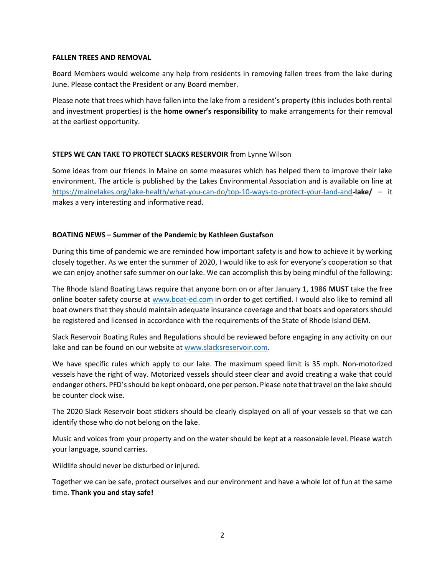#### FALLEN TREES AND REMOVAL

Board Members would welcome any help from residents in removing fallen trees from the lake during June. Please contact the President or any Board member.

Please note that trees which have fallen into the lake from a resident's property (this includes both rental and investment properties) is the **home owner's responsibility** to make arrangements for their removal at the earliest opportunity.

## STEPS WE CAN TAKE TO PROTECT SLACKS RESERVOIR from Lynne Wilson

Some ideas from our friends in Maine on some measures which has helped them to improve their lake environment. The article is published by the Lakes Environmental Association and is available on line at https://mainelakes.org/lake-health/what-you-can-do/top-10-ways-to-protect-your-land-and-lake/ – it makes a very interesting and informative read.

# BOATING NEWS – Summer of the Pandemic by Kathleen Gustafson

During this time of pandemic we are reminded how important safety is and how to achieve it by working closely together. As we enter the summer of 2020, I would like to ask for everyone's cooperation so that we can enjoy another safe summer on our lake. We can accomplish this by being mindful of the following:

The Rhode Island Boating Laws require that anyone born on or after January 1, 1986 MUST take the free online boater safety course at www.boat-ed.com in order to get certified. I would also like to remind all boat owners that they should maintain adequate insurance coverage and that boats and operators should be registered and licensed in accordance with the requirements of the State of Rhode Island DEM.

Slack Reservoir Boating Rules and Regulations should be reviewed before engaging in any activity on our lake and can be found on our website at www.slacksreservoir.com.

We have specific rules which apply to our lake. The maximum speed limit is 35 mph. Non-motorized vessels have the right of way. Motorized vessels should steer clear and avoid creating a wake that could endanger others. PFD's should be kept onboard, one per person. Please note that travel on the lake should be counter clock wise.

The 2020 Slack Reservoir boat stickers should be clearly displayed on all of your vessels so that we can identify those who do not belong on the lake.

Music and voices from your property and on the water should be kept at a reasonable level. Please watch your language, sound carries.

Wildlife should never be disturbed or injured.

Together we can be safe, protect ourselves and our environment and have a whole lot of fun at the same time. Thank you and stay safe!